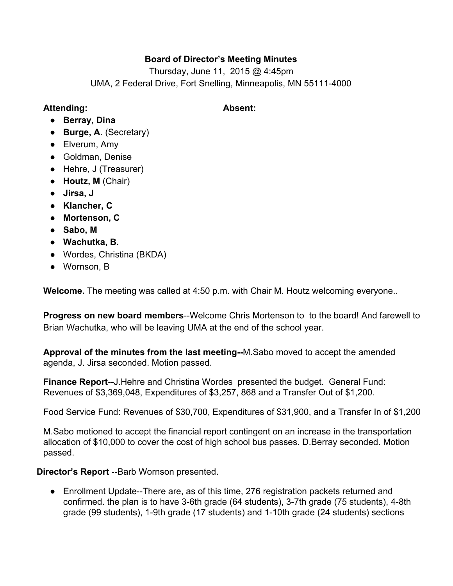## **Board of Director's Meeting Minutes**

Thursday, June 11, 2015 @ 4:45pm UMA, 2 Federal Drive, Fort Snelling, Minneapolis, MN 55111-4000

### **Attending: Absent:**

- **Berray, Dina**
- **Burge, A**. (Secretary)
- Elverum, Amy
- Goldman, Denise
- Hehre, J (Treasurer)
- **Houtz, M**(Chair)
- **Jirsa, J**
- **● Klancher, C**
- **● Mortenson, C**
- **Sabo, M**
- **● Wachutka, B.**
- **●** Wordes, Christina (BKDA)
- Wornson, B

**Welcome.**The meeting was called at 4:50 p.m. with Chair M. Houtz welcoming everyone..

**Progress on new board members--Welcome Chris Mortenson to to the board! And farewell to** Brian Wachutka, who will be leaving UMA at the end of the school year.

**Approval of the minutes from the last meeting--M.Sabo moved to accept the amended** agenda, J. Jirsa seconded. Motion passed.

**Finance Report-J.Hehre and Christina Wordes presented the budget. General Fund:** Revenues of \$3,369,048, Expenditures of \$3,257, 868 and a Transfer Out of \$1,200.

Food Service Fund: Revenues of \$30,700, Expenditures of \$31,900, and a Transfer In of \$1,200

M.Sabo motioned to accept the financial report contingent on an increase in the transportation allocation of \$10,000 to cover the cost of high school bus passes. D.Berray seconded. Motion passed.

**Director's Report** --Barb Wornson presented.

• Enrollment Update-There are, as of this time, 276 registration packets returned and confirmed. the plan is to have 3-6th grade (64 students), 3-7th grade (75 students), 4-8th grade (99 students), 1-9th grade (17 students) and 1-10th grade (24 students) sections